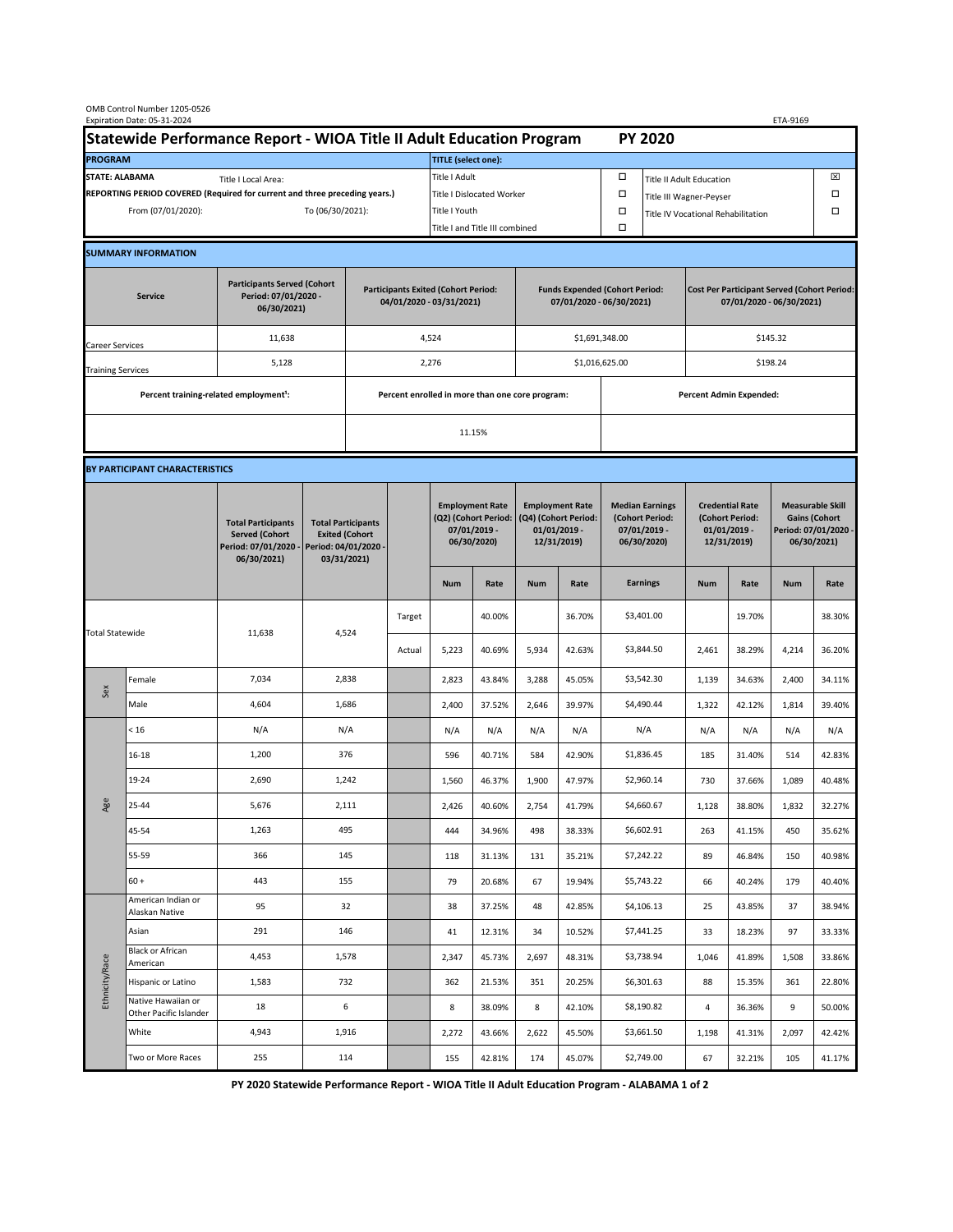| OMB Control Number 1205-0526<br>Expiration Date: 05-31-2024<br>ETA-9169                     |                                                    |                                                                                           |                                                                                           |                                                                        |        |                                                                               |                           |                                                                                 |        |                                                                            |                                    |                                                                                |        |                                                                                        |        |  |  |
|---------------------------------------------------------------------------------------------|----------------------------------------------------|-------------------------------------------------------------------------------------------|-------------------------------------------------------------------------------------------|------------------------------------------------------------------------|--------|-------------------------------------------------------------------------------|---------------------------|---------------------------------------------------------------------------------|--------|----------------------------------------------------------------------------|------------------------------------|--------------------------------------------------------------------------------|--------|----------------------------------------------------------------------------------------|--------|--|--|
| Statewide Performance Report - WIOA Title II Adult Education Program                        |                                                    |                                                                                           |                                                                                           |                                                                        |        |                                                                               |                           |                                                                                 |        |                                                                            |                                    | <b>PY 2020</b>                                                                 |        |                                                                                        |        |  |  |
| <b>PROGRAM</b>                                                                              |                                                    |                                                                                           |                                                                                           |                                                                        |        | <b>TITLE</b> (select one):                                                    |                           |                                                                                 |        |                                                                            |                                    |                                                                                |        |                                                                                        |        |  |  |
| <b>STATE: ALABAMA</b><br>Title I Local Area:                                                |                                                    |                                                                                           |                                                                                           |                                                                        |        | Title I Adult                                                                 |                           |                                                                                 |        | □<br><b>Title II Adult Education</b>                                       |                                    |                                                                                |        |                                                                                        | ⊠      |  |  |
| REPORTING PERIOD COVERED (Required for current and three preceding years.)                  |                                                    |                                                                                           |                                                                                           |                                                                        |        |                                                                               | Title I Dislocated Worker |                                                                                 |        | Ω                                                                          | Title III Wagner-Peyser            |                                                                                |        |                                                                                        | □      |  |  |
| From (07/01/2020):                                                                          |                                                    |                                                                                           |                                                                                           | To (06/30/2021):                                                       |        |                                                                               | Title I Youth             |                                                                                 |        | $\Box$                                                                     | Title IV Vocational Rehabilitation |                                                                                |        |                                                                                        | □      |  |  |
|                                                                                             |                                                    |                                                                                           |                                                                                           |                                                                        |        | Title I and Title III combined                                                |                           |                                                                                 |        | Ω                                                                          |                                    |                                                                                |        |                                                                                        |        |  |  |
|                                                                                             | <b>SUMMARY INFORMATION</b>                         |                                                                                           |                                                                                           |                                                                        |        |                                                                               |                           |                                                                                 |        |                                                                            |                                    |                                                                                |        |                                                                                        |        |  |  |
| <b>Participants Served (Cohort</b><br>Period: 07/01/2020 -<br><b>Service</b><br>06/30/2021) |                                                    |                                                                                           |                                                                                           | <b>Participants Exited (Cohort Period:</b><br>04/01/2020 - 03/31/2021) |        |                                                                               |                           | <b>Funds Expended (Cohort Period:</b><br>07/01/2020 - 06/30/2021)               |        |                                                                            |                                    | <b>Cost Per Participant Served (Cohort Period:</b><br>07/01/2020 - 06/30/2021) |        |                                                                                        |        |  |  |
| <b>Career Services</b>                                                                      |                                                    | 11,638                                                                                    |                                                                                           |                                                                        |        | 4,524                                                                         |                           |                                                                                 |        | \$1,691,348.00                                                             |                                    | \$145.32                                                                       |        |                                                                                        |        |  |  |
| <b>Training Services</b>                                                                    |                                                    | 5,128                                                                                     |                                                                                           | 2,276                                                                  |        |                                                                               |                           |                                                                                 |        | \$1,016,625.00                                                             |                                    | \$198.24                                                                       |        |                                                                                        |        |  |  |
|                                                                                             | Percent training-related employment <sup>1</sup> : |                                                                                           | Percent enrolled in more than one core program:                                           |                                                                        |        |                                                                               |                           |                                                                                 |        |                                                                            | <b>Percent Admin Expended:</b>     |                                                                                |        |                                                                                        |        |  |  |
|                                                                                             |                                                    |                                                                                           |                                                                                           | 11.15%                                                                 |        |                                                                               |                           |                                                                                 |        |                                                                            |                                    |                                                                                |        |                                                                                        |        |  |  |
|                                                                                             |                                                    |                                                                                           |                                                                                           |                                                                        |        |                                                                               |                           |                                                                                 |        |                                                                            |                                    |                                                                                |        |                                                                                        |        |  |  |
| BY PARTICIPANT CHARACTERISTICS                                                              |                                                    |                                                                                           |                                                                                           |                                                                        |        |                                                                               |                           |                                                                                 |        |                                                                            |                                    |                                                                                |        |                                                                                        |        |  |  |
|                                                                                             |                                                    | <b>Total Participants</b><br><b>Served (Cohort</b><br>Period: 07/01/2020 -<br>06/30/2021) | <b>Total Participants</b><br><b>Exited (Cohort</b><br>Period: 04/01/2020 -<br>03/31/2021) |                                                                        |        | <b>Employment Rate</b><br>(Q2) (Cohort Period:<br>07/01/2019 -<br>06/30/2020) |                           | <b>Employment Rate</b><br>(Q4) (Cohort Period:<br>$01/01/2019$ -<br>12/31/2019) |        | <b>Median Earnings</b><br>(Cohort Period:<br>$07/01/2019 -$<br>06/30/2020) |                                    | <b>Credential Rate</b><br>(Cohort Period:<br>$01/01/2019$ -<br>12/31/2019)     |        | <b>Measurable Skill</b><br><b>Gains (Cohort</b><br>Period: 07/01/2020 -<br>06/30/2021) |        |  |  |
|                                                                                             |                                                    |                                                                                           |                                                                                           |                                                                        |        | <b>Num</b>                                                                    | Rate                      | <b>Num</b>                                                                      | Rate   |                                                                            | <b>Earnings</b>                    | <b>Num</b>                                                                     | Rate   | <b>Num</b>                                                                             | Rate   |  |  |
| <b>Total Statewide</b>                                                                      |                                                    |                                                                                           |                                                                                           |                                                                        | Target |                                                                               | 40.00%                    |                                                                                 | 36.70% |                                                                            | \$3,401.00                         |                                                                                | 19.70% |                                                                                        | 38.30% |  |  |
|                                                                                             |                                                    | 11,638                                                                                    |                                                                                           | 4,524                                                                  | Actual | 5,223                                                                         | 40.69%                    | 5,934                                                                           | 42.63% |                                                                            | \$3,844.50                         | 2,461                                                                          | 38.29% | 4,214                                                                                  | 36.20% |  |  |
|                                                                                             | Female                                             | 7,034                                                                                     | 2,838                                                                                     |                                                                        |        | 2,823                                                                         | 43.84%                    | 3,288                                                                           | 45.05% |                                                                            | \$3,542.30                         | 1,139                                                                          | 34.63% | 2,400                                                                                  | 34.11% |  |  |
| Sex                                                                                         | Male                                               | 4,604                                                                                     | 1,686                                                                                     |                                                                        |        | 2,400                                                                         | 37.52%                    | 2,646                                                                           | 39.97% |                                                                            | \$4,490.44                         | 1,322                                                                          | 42.12% | 1,814                                                                                  | 39.40% |  |  |
| Age                                                                                         | < 16                                               | N/A                                                                                       | N/A                                                                                       |                                                                        |        | N/A                                                                           | N/A                       | N/A                                                                             | N/A    |                                                                            | N/A                                | N/A                                                                            | N/A    | N/A                                                                                    | N/A    |  |  |
|                                                                                             | 16-18                                              | 1,200                                                                                     | 376                                                                                       |                                                                        |        | 596                                                                           | 40.71%                    | 584                                                                             | 42.90% |                                                                            | \$1,836.45                         | 185                                                                            | 31.40% | 514                                                                                    | 42.83% |  |  |
|                                                                                             | 19-24                                              | 2,690                                                                                     | 1,242                                                                                     |                                                                        |        | 1,560                                                                         | 46.37%                    | 1,900                                                                           | 47.97% |                                                                            | \$2,960.14                         | 730                                                                            | 37.66% | 1,089                                                                                  | 40.48% |  |  |
|                                                                                             | 25-44                                              | 5,676                                                                                     | 2,111                                                                                     |                                                                        |        | 2,426                                                                         | 40.60%                    | 2,754                                                                           | 41.79% |                                                                            | \$4,660.67                         | 1,128                                                                          | 38.80% | 1,832                                                                                  | 32.27% |  |  |
|                                                                                             | 45-54                                              | 1,263                                                                                     | 495                                                                                       |                                                                        |        | 444                                                                           | 34.96%                    | 498                                                                             | 38.33% |                                                                            | \$6,602.91                         | 263                                                                            | 41.15% | 450                                                                                    | 35.62% |  |  |
|                                                                                             | 55-59                                              | 366                                                                                       | 145                                                                                       |                                                                        |        | 118                                                                           | 31.13%                    | 131                                                                             | 35.21% |                                                                            | \$7,242.22                         | 89                                                                             | 46.84% | 150                                                                                    | 40.98% |  |  |
|                                                                                             | $60 +$                                             | 443                                                                                       | 155                                                                                       |                                                                        |        | 79                                                                            | 20.68%                    | 67                                                                              | 19.94% |                                                                            | \$5,743.22                         | 66                                                                             | 40.24% | 179                                                                                    | 40.40% |  |  |
| Ethnicity/Race                                                                              | American Indian or<br>Alaskan Native               | 95                                                                                        | 32                                                                                        |                                                                        |        | 38                                                                            | 37.25%                    | 48                                                                              | 42.85% |                                                                            | \$4,106.13                         | 25                                                                             | 43.85% | 37                                                                                     | 38.94% |  |  |
|                                                                                             | Asian                                              | 291                                                                                       | 146                                                                                       |                                                                        |        | 41                                                                            | 12.31%                    | 34                                                                              | 10.52% |                                                                            | \$7,441.25                         | 33                                                                             | 18.23% | 97                                                                                     | 33.33% |  |  |
|                                                                                             | Black or African<br>American                       | 4,453                                                                                     | 1,578                                                                                     |                                                                        |        | 2,347                                                                         | 45.73%                    | 2,697                                                                           | 48.31% |                                                                            | \$3,738.94                         | 1,046                                                                          | 41.89% | 1,508                                                                                  | 33.86% |  |  |
|                                                                                             | Hispanic or Latino<br>Native Hawaiian or           | 1,583                                                                                     | 732                                                                                       |                                                                        |        | 362                                                                           | 21.53%                    | 351                                                                             | 20.25% |                                                                            | \$6,301.63                         | 88                                                                             | 15.35% | 361                                                                                    | 22.80% |  |  |
|                                                                                             | Other Pacific Islander                             | 18                                                                                        |                                                                                           | 6                                                                      |        | 8                                                                             | 38.09%                    | 8                                                                               | 42.10% |                                                                            | \$8,190.82                         | 4                                                                              | 36.36% | 9                                                                                      | 50.00% |  |  |
|                                                                                             | White                                              | 4,943                                                                                     | 1,916                                                                                     |                                                                        |        | 2,272                                                                         | 43.66%                    | 2,622                                                                           | 45.50% |                                                                            | \$3,661.50                         | 1,198                                                                          | 41.31% | 2,097                                                                                  | 42.42% |  |  |
|                                                                                             | Two or More Races                                  | 255                                                                                       | 114                                                                                       |                                                                        |        | 155                                                                           | 42.81%                    | 174                                                                             | 45.07% |                                                                            | \$2,749.00                         | 67                                                                             | 32.21% | 105                                                                                    | 41.17% |  |  |

 **PY 2020 Statewide Performance Report - WIOA Title II Adult Education Program - ALABAMA 1 of 2**